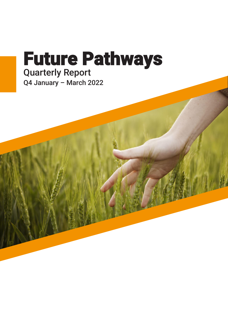# Future Pathways Quarterly Report Q4 January – March 2022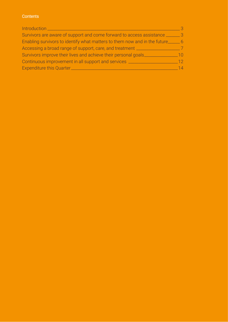#### **Contents**

| Introduction __                                                            |     |
|----------------------------------------------------------------------------|-----|
| Survivors are aware of support and come forward to access assistance __    |     |
| Enabling survivors to identify what matters to them now and in the future_ | - 6 |
| Accessing a broad range of support, care, and treatment _                  |     |
| Survivors improve their lives and achieve their personal goals_            | 1Λ  |
| Continuous improvement in all support and services _                       | 12  |
| Expenditure this Quarter_                                                  | 14  |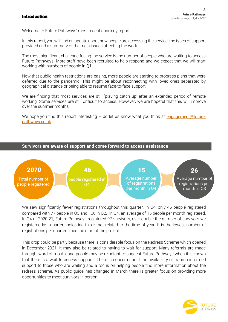#### <span id="page-2-0"></span>Introduction

í

Welcome to Future Pathways' most recent quarterly report.

In this report, you will find an update about how people are accessing the service, the types of support provided and a summary of the main issues affecting the work.

The most significant challenge facing the service is the number of people who are waiting to access Future Pathways. More staff have been recruited to help respond and we expect that we will start working with numbers of people in Q1.

Now that public health restrictions are easing, more people are starting to progress plans that were deferred due to the pandemic. This might be about reconnecting with loved ones separated by geographical distance or being able to resume face-to-face support.

We are finding that most services are still 'playing catch up' after an extended period of remote working. Some services are still difficult to access. However, we are hopeful that this will improve over the summer months.

We hope you find this report interesting  $-$  do let us know what you think at **engagement@future**[pathways.co.uk](mailto:engagement@future-pathways.co.uk) 



We saw significantly fewer registrations throughout this quarter. In 04, only 46 people registered compared with 77 people in Q3 and 106 in Q2. In Q4, an average of 15 people per month registered. In Q4 of 2020-21, Future Pathways registered 97 survivors, over double the number of survivors we registered last quarter, indicating this is not related to the time of year. It is the lowest number of registrations per quarter since the start of the project.

This drop could be partly because there is considerable focus on the Redress Scheme which opened in December 2021. It may also be related to having to wait for support. Many referrals are made through 'word of mouth' and people may be reluctant to suggest Future Pathways when it is known that there is a wait to access support. There is concern about the availability of trauma informed support to those who are waiting and a focus on helping people find more information about the redress scheme. As public guidelines changed in March there is greater focus on providing more opportunities to meet survivors in person.

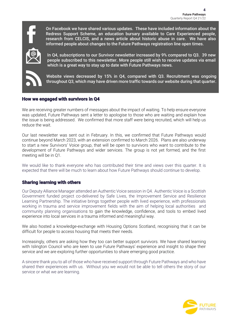

On Facebook we have shared various updates. These have included information about the Redress Support Scheme, an education bursary available to Care Experienced people, research from CELCIS, and a news article about historic abuse in care. We have also informed people about changes to the Future Pathways registration line open times.



**How people heard about us** In Q4, subscriptions to our Survivor newsletter increased by 9% compared to Q3. 39 new people subscribed to this newsletter. More people still wish to receive updates via email which is a great way to stay up to date with Future Pathways news.



י

Website views decreased by 15% in Q4, compared with Q3. Recruitment was ongoing throughout Q3, which may have driven more traffic towards our website during that quarter.

## How we engaged with survivors in Q4

We are receiving greater numbers of messages about the impact of waiting. To help ensure everyone was updated, Future Pathways sent a letter to apologise to those who are waiting and explain how the issue is being addressed. We confirmed that more staff were being recruited, which will help us reduce the wait.

Our last newsletter was sent out in February. In this, we confirmed that Future Pathways would continue beyond March 2023, with an extension confirmed to March 2026. Plans are also underway to start a new Survivors' Voice group, that will be open to survivors who want to contribute to the development of Future Pathways and wider services. The group is not yet formed, and the first meeting will be in Q1.

We would like to thank everyone who has contributed their time and views over this quarter. It is expected that there will be much to learn about how Future Pathways should continue to develop.

#### l Sharing learning with others

Our Deputy Alliance Manager attended an Authentic Voice session in Q4. Authentic Voice is a Scottish Government funded project co-delivered by Safe Lives, the Improvement Service and Resilience Learning Partnership. The initiative brings together people with lived experience, with professionals working in trauma and service improvement fields with the aim of helping local authorities and community planning organisations to gain the knowledge, confidence, and tools to embed lived experience into local services in a trauma informed and meaningful way.

We also hosted a knowledge-exchange with Housing Options Scotland, recognising that it can be difficult for people to access housing that meets their needs.

Increasingly, others are asking how they too can better support survivors. We have shared learning with Islington Council who are keen to use Future Pathways' experience and insight to shape their service and we are exploring further opportunities to share emerging good practice.

A sincere thank you to all of those who have received support through Future Pathways and who have shared their experiences with us. Without you we would not be able to tell others the story of our service or what we are learning.

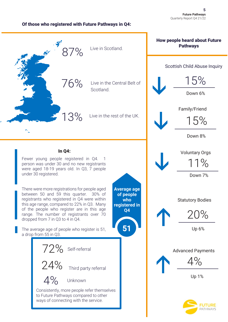#### Of those who registered with Future Pathways in Q4:

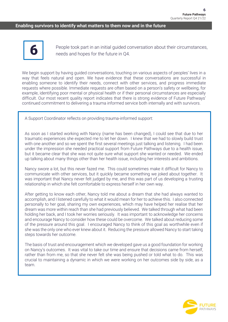#### **Enabling survivors to identify what matters to them now and in the future**



People took part in an initial guided conversation about their circumstances, needs and hopes for the future in Q4.

We begin support by having guided conversations, touching on various aspects of peoples' lives in a way that feels natural and open. We have evidence that these conversations are successful in enabling someone to identify their needs, connect with other services, and progress immediate requests where possible. Immediate requests are often based on a person's safety or wellbeing, for example, identifying poor mental or physical health or if their personal circumstances are especially difficult. Our most recent quality report indicates that there is strong evidence of Future Pathways' continued commitment to delivering a trauma informed service both internally and with survivors.

A Support Coordinator reflects on providing trauma-informed support:

As soon as I started working with Nancy (name has been changed), I could see that due to her traumatic experiences she expected me to let her down. I knew that we had to slowly build trust with one another and so we spent the first several meetings just talking and listening. I had been under the impression she needed practical support from Future Pathways due to a health issue, but it became clear that she was not quite sure what support she wanted or needed. We ended up talking about many things other than her health issue, including her interests and ambitions.

Nancy swore a lot, but this never fazed me. This could sometimes make it difficult for Nancy to communicate with other services, but it quickly became something we joked about together. It was important that Nancy never felt judged by me, and this was part of us developing a trusting relationship in which she felt comfortable to express herself in her own way.

After getting to know each other, Nancy told me about a dream that she had always wanted to accomplish, and I listened carefully to what it would mean for her to achieve this. I also connected personally to her goal, sharing my own experiences, which may have helped her realise that her dream was more within reach than she had previously believed. We talked through what had been holding her back, and I took her worries seriously. It was important to acknowledge her concerns and encourage Nancy to consider how these could be overcome. We talked about reducing some of the pressure around this goal. I encouraged Nancy to think of this goal as worthwhile even if she was the only one who ever knew about it. Reducing the pressure allowed Nancy to start taking steps towards her outcome.

The basis of trust and encouragement which we developed gave us a good foundation for working on Nancy's outcomes. It was vital to take our time and ensure that decisions came from herself, rather than from me, so that she never felt she was being pushed or told what to do. This was crucial to maintaining a dynamic in which we were working on her outcomes side by side, as a team.

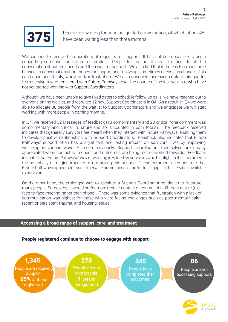

People are waiting for an initial guided conversation, of which about 46 have been waiting less than three months.

We continue to receive high numbers of requests for support. It has not been possible to begin supporting someone soon after registration. People tell us that it can be difficult to start a conversation about their needs and then wait for support. We also find that if there is too much time between a conversation about hopes for support and follow up, sometimes needs can change. This can cause uncertainty, worry, and/or frustration. We also observed increased contact this quarter from survivors who registered with Future Pathways over the course of the last year but who have not yet started working with Support Coordinators.

Although we have been unable to give fixed dates to schedule follow up calls, we have reached out to everyone on the waitlist, and recruited 12 new Support Coordinators in Q4. As a result, in Q4 we were able to allocate 38 people from the waitlist to Support Coordinators and we anticipate we will start working with more people in coming months.

In Q4, we received 32 Messages of feedback (13 complimentary and 20 critical \*one comment was complimentary and critical in nature and so is counted in both totals). The feedback received indicates that generally survivors feel heard when they interact with Future Pathways, enabling them to develop positive relationships with Support Coordinators. Feedback also indicates that Future Pathways' support often has a significant and lasting impact on survivors' lives by improving wellbeing in various ways. As seen previously, Support Coordinators themselves are greatly appreciated when contact is frequent, and outcomes are being met or worked towards. Feedback indicates that Future Pathways' way of working is valued by survivors who highlight in their comments the potentially damaging impacts of not having this support. These comments demonstrate that Future Pathways appears to meet otherwise unmet needs, and/or to fill gaps in the services available to survivors.

On the other hand, the prolonged wait to speak to a Support Coordinator continues to frustrate many people. Some people would prefer more regular contact or contact of a different nature (e.g., face-to-face meeting rather than phone). There was some evidence that frustration with a lack of communication was highest for those who were facing challenges such as poor mental health, recent or persistent trauma, and housing issues.

#### **Accessing a broad range of support, care, and treatment**



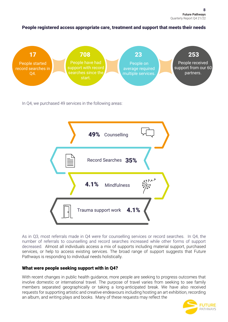People registered access appropriate care, treatment and support that meets their needs



In Q4, we purchased 49 services in the following areas:



As in Q3, most referrals made in Q4 were for counselling services or record searches. In Q4, the number of referrals to counselling and record searches increased while other forms of support decreased. Almost all individuals access a mix of supports including material support, purchased services, or help to access existing services. The broad range of support suggests that Future Pathways is responding to individual needs holistically.

### What were people seeking support with in Q4?

With recent changes in public health guidance, more people are seeking to progress outcomes that involve domestic or international travel. The purpose of travel varies from seeking to see family members separated geographically or taking a long-anticipated break. We have also received requests for supporting artistic and creative endeavours including hosting an art exhibition, recording an album, and writing plays and books. Many of these requests may reflect the

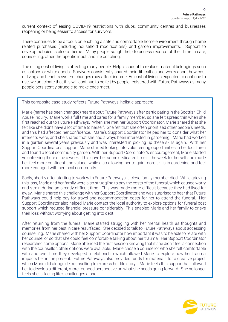current context of easing COVID-19 restrictions with clubs, community centres and businesses reopening or being easier to access for survivors.

There continues to be a focus on enabling a safe and comfortable home environment through home related purchases (including household modifications) and garden improvements. Support to develop hobbies is also a theme. Many people sought help to access records of their time in care, counselling, other therapeutic input, and life coaching.

The rising cost of living is affecting many people. Help is sought to replace material belongings such as laptops or white goods. Survivors consistently shared their difficulties and worry about how cost of living and benefits system changes may affect income. As cost of living is expected to continue to rise, we anticipate that this will continue to be felt by people registered with Future Pathways as many people persistently struggle to make ends meet.

#### This composite case-study reflects Future Pathways' holistic approach:

Marie (name has been changed) heard about Future Pathways after participating in the Scottish Child Abuse Inquiry. Marie works full time and cares for a family member, so she felt spread thin when she first reached out to Future Pathways. When she met her Support Coordinator, Marie shared that she felt like she didn't have a lot of time to herself. She felt that she often prioritised other people's needs, and this had affected her confidence. Marie's Support Coordinator helped her to consider what her interests were, and she shared that she had always been interested in gardening. Marie had worked in a garden several years previously and was interested in picking up these skills again. With her Support Coordinator's support, Marie started looking into volunteering opportunities in her local area and found a local community garden. With her Support Coordinator's encouragement, Marie started volunteering there once a week. This gave her some dedicated time in the week for herself and made her feel more confident and valued, while also allowing her to gain more skills in gardening and feel more engaged with her local community.

Sadly, shortly after starting to work with Future Pathways, a close family member died. While grieving this loss, Marie and her family were also struggling to pay the costs of the funeral, which caused worry and strain during an already difficult time. This was made more difficult because they had lived far away. Marie shared this challenge with her Support Coordinator and was surprised to hear that Future Pathways could help pay for travel and accommodation costs for her to attend the funeral. Her Support Coordinator also helped Marie contact the local authority to explore options for funeral cost support which reduced financial pressure considerably. This enabled Marie and her family to grieve their loss without worrying about getting into debt.

After returning from the funeral, Marie started struggling with her mental health as thoughts and memories from her past in care resurfaced. She decided to talk to Future Pathways about accessing counselling. Marie shared with her Support Coordinator how important it was to be able to relate with her counsellor so that she could feel comfortable talking about her trauma. Her Support Coordinator researched some options. Marie attended the first session knowing that if she didn't feel a connection with the counsellor, other options were available. Marie chose a counsellor who she felt comfortable with and over time they developed a relationship which allowed Marie to explore how her trauma impacts her in the present. Future Pathways also provided funds for materials for a creative project which Marie did alongside counselling to express her life story. Marie feels this support has allowed her to develop a different, more rounded perspective on what she needs going forward. She no longer feels she is facing life's challenges alone.

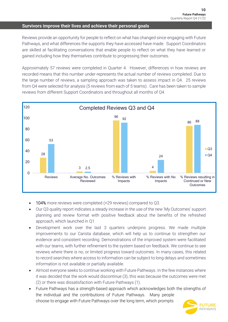#### **Survivors improve their lives and achieve their personal goals**

Reviews provide an opportunity for people to reflect on what has changed since engaging with Future Pathways, and what differences the supports they have accessed have made. Support Coordinators are skilled at facilitating conversations that enable people to reflect on what they have learned or gained including how they themselves contribute to progressing their outcomes.

Approximately 57 reviews were completed in Quarter 4. However, differences in how reviews are recorded means that this number under-represents the actual number of reviews completed. Due to the large number of reviews, a sampling approach was taken to assess impact in Q4. 25 reviews from Q4 were selected for analysis (5 reviews from each of 5 teams). Care has been taken to sample reviews from different Support Coordinators and throughout all months of Q4.



- 104% more reviews were completed (+29 reviews) compared to Q3.
- Our Q3 quality report indicates a steady increase in the use of the new 'My Outcomes' support planning and review format with positive feedback about the benefits of the refreshed approach, which launched in Q1
- Development work over the last 3 quarters underpins progress. We made multiple improvements to our Carista database, which will help us to continue to strengthen our evidence and consistent recording. Demonstrations of the improved system were facilitated with our teams, with further refinement to the system based on feedback. We continue to see reviews where there is no, or limited progress toward outcomes. In many cases, this related to record searches where access to information can be subject to long delays and sometimes information is not available or partially available.
- Almost everyone seeks to continue working with Future Pathways. In the few instances where it was decided that the work would discontinue (3), this was because the outcomes were met (2) or there was dissatisfaction with Future Pathways (1).
- Future Pathways has a strength-based approach which acknowledges both the strengths of the individual and the contributions of Future Pathways. Many people choose to engage with Future Pathways over the long term, which prompts

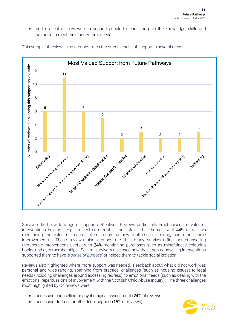• us to reflect on how we can support people to learn and gain the knowledge, skills and supports to meet their longer-term needs.



This sample of reviews also demonstrates the effectiveness of support in several areas.

Survivors find a wide range of supports effective. Reviews particularly emphasised the value of interventions helping people to feel comfortable and safe in their homes, with 44% of reviews mentioning the value of material items such as new mattresses, flooring, and other home improvements. These reviews also demonstrate that many survivors find non-counselling therapeutic interventions useful, with 24% mentioning purchases such as mindfulness colouring books, and gym memberships. Several survivors disclosed how these non-counselling interventions supported them to have *'a sense of purpose'* or helped them to tackle social isolation.

Reviews also highlighted where more support was needed. Feedback about what did not work was personal and wide-ranging, spanning from practical challenges (such as housing issues) to legal needs (including challenges around accessing redress), to emotional needs (such as dealing with the emotional repercussions of involvement with the Scottish Child Abuse Inquiry). The three challenges most highlighted by Q4 reviews were:

- accessing counselling or psychological assessment (24% of reviews)
- accessing Redress or other legal support (16% of reviews)

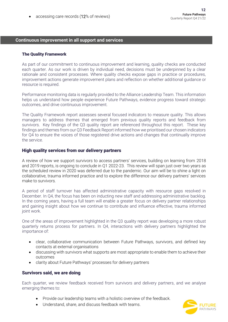accessing care records (12% of reviews)

#### **Continuous improvement in all support and services**

#### The Quality Framework

As part of our commitment to continuous improvement and learning, quality checks are conducted each quarter. As our work is driven by individual need, decisions must be underpinned by a clear rationale and consistent processes. Where quality checks expose gaps in practice or procedures, improvement actions generate improvement plans and reflection on whether additional guidance or resource is required.

Performance monitoring data is regularly provided to the Alliance Leadership Team. This information helps us understand how people experience Future Pathways, evidence progress toward strategic outcomes, and drive continuous improvement.

The Quality Framework report assesses several focused indicators to measure quality. This allows managers to address themes that emerged from previous quality reports and feedback from survivors. Key findings of the Q3 quality report are referenced throughout this report. These key findings and themes from our Q3 Feedback Report informed how we prioritised our chosen indicators for Q4 to ensure the voices of those registered drive actions and changes that continually improve the service.

#### High quality services from our delivery partners

A review of how we support survivors to access partners' services, building on learning from 2018 and 2019 reports, is ongoing to conclude in Q1 2022-23. This review will span just over two years as the scheduled review in 2020 was deferred due to the pandemic. Our aim will be to shine a light on collaborative, trauma informed practice and to explore the difference our delivery partners' services make to survivors.

A period of staff turnover has affected administrative capacity with resource gaps resolved in December. In Q4, the focus has been on inducting new staff and addressing administrative backlog. In the coming years, having a full team will enable a greater focus on delivery partner relationships and gaining insight about how we continue to contribute and influence effective, trauma informed joint work.

One of the areas of improvement highlighted in the Q3 quality report was developing a more robust quarterly returns process for partners. In Q4, interactions with delivery partners highlighted the importance of:

- clear, collaborative communication between Future Pathways, survivors, and defined key contacts at external organisations
- discussing with survivors what supports are most appropriate to enable them to achieve their outcomes
- clarity about Future Pathways' processes for delivery partners

#### Survivors said, we are doing

Each quarter, we review feedback received from survivors and delivery partners, and we analyse emerging themes to:

- Provide our leadership teams with a holistic overview of the feedback.
- Understand, share, and discuss feedback with teams.

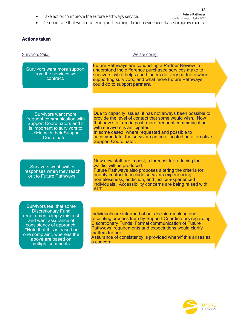Take action to improve the Future Pathways service.

**Future Pathways** Quarterly Report Q4 21/22

**13**

• Demonstrate that we are listening and learning through evidenced-based improvements

Support Coordinator.

#### Actions taken

Survivors Said: We are doing:

Survivors want more support from the services we contract.

Future Pathways are conducting a Partner Review to understand the difference purchased services make to survivors; what helps and hinders delivery partners when supporting survivors; and what more Future Pathways could do to support partners.

Survivors want more frequent communication with Support Coordinators and it is important to survivors to 'click' with their Support Coordinator.

Due to capacity issues, it has not always been possible to provide the level of contact that some would wish. Now that new staff are in post, more frequent communication with survivors is anticipated. In some cased, where requested and possible to accommodate, the survivor can be allocated an alternative

Survivors want swifter responses when they reach out to Future Pathways.

Now new staff are in post, a forecast for reducing the waitlist will be produced.

Future Pathways also proposes altering the criteria for priority contact to include survivors experiencing homelessness, addiction, and justice-experienced individuals. Accessibility concerns are being raised with ALT.

Survivors feel that some Discretionary Fund requirements imply mistrust and want assurance of consistency of approach. \*Note that this is based on one complaint, whereas the above are based on multiple comments.

Individuals are informed of our decision-making and receipting process from by Support Coordinators regarding Discretionary Funds. Formal communication of Future Pathways' requirements and expectations would clarify matters further.

Assurance of consistency is provided when/if this arises as a concern.